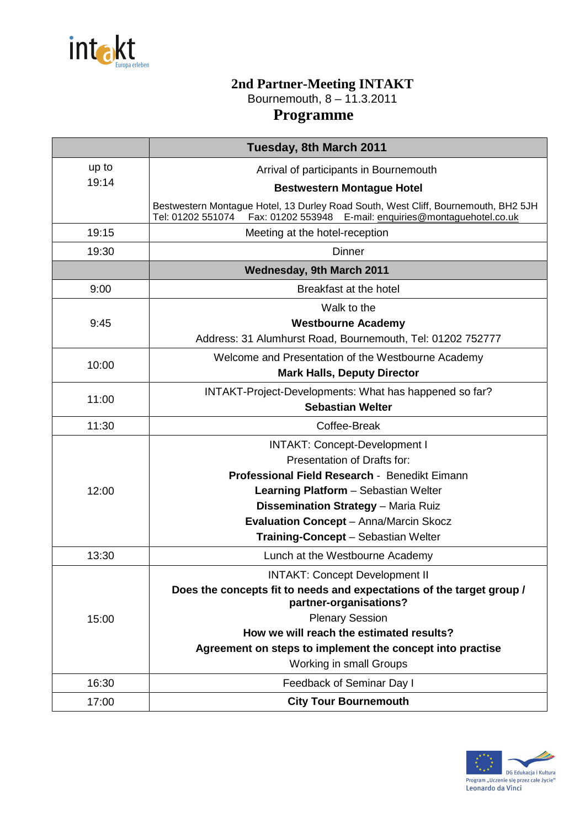

## **2nd Partner-Meeting INTAKT**  Bournemouth, 8 – 11.3.2011

## **Programme**

|       | Tuesday, 8th March 2011                                                                                                                                            |
|-------|--------------------------------------------------------------------------------------------------------------------------------------------------------------------|
| up to | Arrival of participants in Bournemouth                                                                                                                             |
| 19:14 | <b>Bestwestern Montague Hotel</b>                                                                                                                                  |
|       | Bestwestern Montague Hotel, 13 Durley Road South, West Cliff, Bournemouth, BH2 5JH<br>Tel: 01202 551074<br>Fax: 01202 553948 E-mail: enquiries@montaguehotel.co.uk |
| 19:15 | Meeting at the hotel-reception                                                                                                                                     |
| 19:30 | <b>Dinner</b>                                                                                                                                                      |
|       | Wednesday, 9th March 2011                                                                                                                                          |
| 9:00  | Breakfast at the hotel                                                                                                                                             |
|       | Walk to the                                                                                                                                                        |
| 9:45  | <b>Westbourne Academy</b>                                                                                                                                          |
|       | Address: 31 Alumhurst Road, Bournemouth, Tel: 01202 752777                                                                                                         |
| 10:00 | Welcome and Presentation of the Westbourne Academy                                                                                                                 |
|       | <b>Mark Halls, Deputy Director</b>                                                                                                                                 |
| 11:00 | INTAKT-Project-Developments: What has happened so far?                                                                                                             |
|       | <b>Sebastian Welter</b>                                                                                                                                            |
| 11:30 | Coffee-Break                                                                                                                                                       |
|       | <b>INTAKT: Concept-Development I</b>                                                                                                                               |
|       | Presentation of Drafts for:                                                                                                                                        |
|       | Professional Field Research - Benedikt Eimann                                                                                                                      |
| 12:00 | Learning Platform - Sebastian Welter                                                                                                                               |
|       | Dissemination Strategy - Maria Ruiz                                                                                                                                |
|       | <b>Evaluation Concept - Anna/Marcin Skocz</b>                                                                                                                      |
|       | Training-Concept - Sebastian Welter                                                                                                                                |
| 13:30 | Lunch at the Westbourne Academy                                                                                                                                    |
| 15:00 | <b>INTAKT: Concept Development II</b>                                                                                                                              |
|       | Does the concepts fit to needs and expectations of the target group /<br>partner-organisations?                                                                    |
|       | <b>Plenary Session</b>                                                                                                                                             |
|       | How we will reach the estimated results?                                                                                                                           |
|       | Agreement on steps to implement the concept into practise                                                                                                          |
|       | Working in small Groups                                                                                                                                            |
| 16:30 | Feedback of Seminar Day I                                                                                                                                          |
| 17:00 | <b>City Tour Bournemouth</b>                                                                                                                                       |
|       |                                                                                                                                                                    |